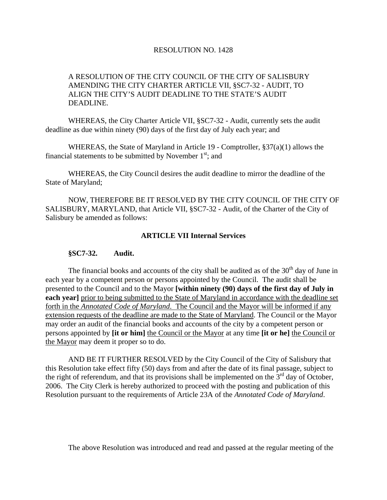## RESOLUTION NO. 1428

## A RESOLUTION OF THE CITY COUNCIL OF THE CITY OF SALISBURY AMENDING THE CITY CHARTER ARTICLE VII, §SC7-32 - AUDIT, TO ALIGN THE CITY'S AUDIT DEADLINE TO THE STATE'S AUDIT DEADLINE.

 WHEREAS, the City Charter Article VII, §SC7-32 - Audit, currently sets the audit deadline as due within ninety (90) days of the first day of July each year; and

 WHEREAS, the State of Maryland in Article 19 - Comptroller, §37(a)(1) allows the financial statements to be submitted by November  $1<sup>st</sup>$ ; and

 WHEREAS, the City Council desires the audit deadline to mirror the deadline of the State of Maryland;

 NOW, THEREFORE BE IT RESOLVED BY THE CITY COUNCIL OF THE CITY OF SALISBURY, MARYLAND, that Article VII, §SC7-32 - Audit, of the Charter of the City of Salisbury be amended as follows:

## **ARTICLE VII Internal Services**

## **§SC7-32. Audit.**

The financial books and accounts of the city shall be audited as of the  $30<sup>th</sup>$  day of June in each year by a competent person or persons appointed by the Council. The audit shall be presented to the Council and to the Mayor **[within ninety (90) days of the first day of July in each year]** prior to being submitted to the State of Maryland in accordance with the deadline set forth in the *Annotated Code of Maryland*. The Council and the Mayor will be informed if any extension requests of the deadline are made to the State of Maryland. The Council or the Mayor may order an audit of the financial books and accounts of the city by a competent person or persons appointed by **[it or him]** the Council or the Mayor at any time **[it or he]** the Council or the Mayor may deem it proper so to do.

 AND BE IT FURTHER RESOLVED by the City Council of the City of Salisbury that this Resolution take effect fifty (50) days from and after the date of its final passage, subject to the right of referendum, and that its provisions shall be implemented on the  $3<sup>rd</sup>$  day of October, 2006. The City Clerk is hereby authorized to proceed with the posting and publication of this Resolution pursuant to the requirements of Article 23A of the *Annotated Code of Maryland*.

The above Resolution was introduced and read and passed at the regular meeting of the